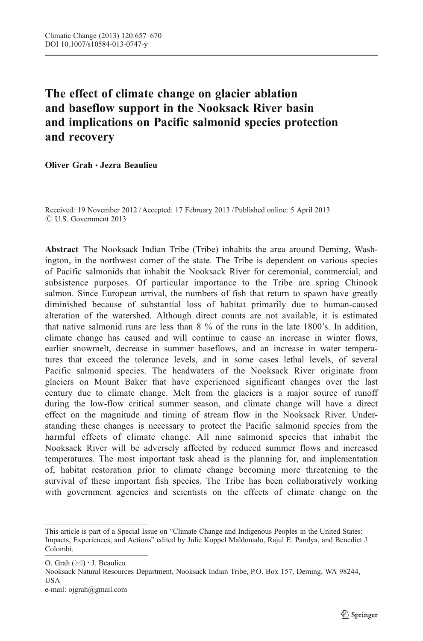# The effect of climate change on glacier ablation and baseflow support in the Nooksack River basin and implications on Pacific salmonid species protection and recovery

Oliver Grah & Jezra Beaulieu

Received: 19 November 2012 / Accepted: 17 February 2013 / Published online: 5 April 2013  $\odot$  U.S. Government 2013

Abstract The Nooksack Indian Tribe (Tribe) inhabits the area around Deming, Washington, in the northwest corner of the state. The Tribe is dependent on various species of Pacific salmonids that inhabit the Nooksack River for ceremonial, commercial, and subsistence purposes. Of particular importance to the Tribe are spring Chinook salmon. Since European arrival, the numbers of fish that return to spawn have greatly diminished because of substantial loss of habitat primarily due to human-caused alteration of the watershed. Although direct counts are not available, it is estimated that native salmonid runs are less than 8 % of the runs in the late 1800's. In addition, climate change has caused and will continue to cause an increase in winter flows, earlier snowmelt, decrease in summer baseflows, and an increase in water temperatures that exceed the tolerance levels, and in some cases lethal levels, of several Pacific salmonid species. The headwaters of the Nooksack River originate from glaciers on Mount Baker that have experienced significant changes over the last century due to climate change. Melt from the glaciers is a major source of runoff during the low-flow critical summer season, and climate change will have a direct effect on the magnitude and timing of stream flow in the Nooksack River. Understanding these changes is necessary to protect the Pacific salmonid species from the harmful effects of climate change. All nine salmonid species that inhabit the Nooksack River will be adversely affected by reduced summer flows and increased temperatures. The most important task ahead is the planning for, and implementation of, habitat restoration prior to climate change becoming more threatening to the survival of these important fish species. The Tribe has been collaboratively working with government agencies and scientists on the effects of climate change on the

O. Grah  $(\boxtimes) \cdot$  J. Beaulieu

Nooksack Natural Resources Department, Nooksack Indian Tribe, P.O. Box 157, Deming, WA 98244, USA

This article is part of a Special Issue on "Climate Change and Indigenous Peoples in the United States: Impacts, Experiences, and Actions" edited by Julie Koppel Maldonado, Rajul E. Pandya, and Benedict J. Colombi.

e-mail: ojgrah@gmail.com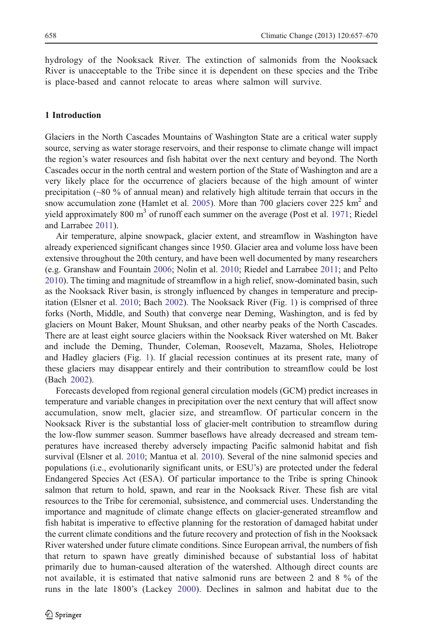hydrology of the Nooksack River. The extinction of salmonids from the Nooksack River is unacceptable to the Tribe since it is dependent on these species and the Tribe is place-based and cannot relocate to areas where salmon will survive.

# 1 Introduction

Glaciers in the North Cascades Mountains of Washington State are a critical water supply source, serving as water storage reservoirs, and their response to climate change will impact the region's water resources and fish habitat over the next century and beyond. The North Cascades occur in the north central and western portion of the State of Washington and are a very likely place for the occurrence of glaciers because of the high amount of winter precipitation (~80 % of annual mean) and relatively high altitude terrain that occurs in the snow accumulation zone (Hamlet et al. [2005\)](#page-12-0). More than 700 glaciers cover 225  $\text{km}^2$  and yield approximately 800  $m<sup>3</sup>$  of runoff each summer on the average (Post et al. [1971](#page-13-0); Riedel and Larrabee [2011\)](#page-13-0).

Air temperature, alpine snowpack, glacier extent, and streamflow in Washington have already experienced significant changes since 1950. Glacier area and volume loss have been extensive throughout the 20th century, and have been well documented by many researchers (e.g. Granshaw and Fountain [2006](#page-12-0); Nolin et al. [2010](#page-13-0); Riedel and Larrabee [2011;](#page-13-0) and Pelto [2010\)](#page-13-0). The timing and magnitude of streamflow in a high relief, snow-dominated basin, such as the Nooksack River basin, is strongly influenced by changes in temperature and precipitation (Elsner et al. [2010;](#page-12-0) Bach [2002\)](#page-12-0). The Nooksack River (Fig. [1](#page-2-0)) is comprised of three forks (North, Middle, and South) that converge near Deming, Washington, and is fed by glaciers on Mount Baker, Mount Shuksan, and other nearby peaks of the North Cascades. There are at least eight source glaciers within the Nooksack River watershed on Mt. Baker and include the Deming, Thunder, Coleman, Roosevelt, Mazama, Sholes, Heliotrope and Hadley glaciers (Fig. [1\)](#page-2-0). If glacial recession continues at its present rate, many of these glaciers may disappear entirely and their contribution to streamflow could be lost (Bach [2002](#page-12-0)).

Forecasts developed from regional general circulation models (GCM) predict increases in temperature and variable changes in precipitation over the next century that will affect snow accumulation, snow melt, glacier size, and streamflow. Of particular concern in the Nooksack River is the substantial loss of glacier-melt contribution to streamflow during the low-flow summer season. Summer baseflows have already decreased and stream temperatures have increased thereby adversely impacting Pacific salmonid habitat and fish survival (Elsner et al. [2010](#page-12-0); Mantua et al. [2010](#page-13-0)). Several of the nine salmonid species and populations (i.e., evolutionarily significant units, or ESU's) are protected under the federal Endangered Species Act (ESA). Of particular importance to the Tribe is spring Chinook salmon that return to hold, spawn, and rear in the Nooksack River. These fish are vital resources to the Tribe for ceremonial, subsistence, and commercial uses. Understanding the importance and magnitude of climate change effects on glacier-generated streamflow and fish habitat is imperative to effective planning for the restoration of damaged habitat under the current climate conditions and the future recovery and protection of fish in the Nooksack River watershed under future climate conditions. Since European arrival, the numbers of fish that return to spawn have greatly diminished because of substantial loss of habitat primarily due to human-caused alteration of the watershed. Although direct counts are not available, it is estimated that native salmonid runs are between 2 and 8 % of the runs in the late 1800's (Lackey [2000\)](#page-12-0). Declines in salmon and habitat due to the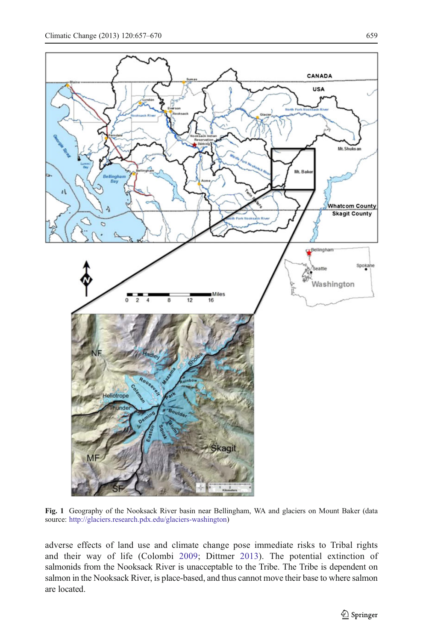$\overline{\mathbf{A}}$ 

<span id="page-2-0"></span>

Fig. 1 Geography of the Nooksack River basin near Bellingham, WA and glaciers on Mount Baker (data source: [http://glaciers.research.pdx.edu/glaciers-washington\)](http://glaciers.research.pdx.edu/glaciers-washington)

agit

adverse effects of land use and climate change pose immediate risks to Tribal rights and their way of life (Colombi [2009;](#page-12-0) Dittmer [2013\)](#page-12-0). The potential extinction of salmonids from the Nooksack River is unacceptable to the Tribe. The Tribe is dependent on salmon in the Nooksack River, is place-based, and thus cannot move their base to where salmon are located.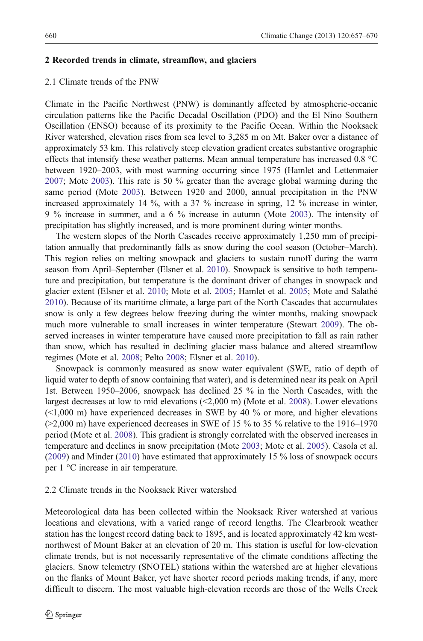## 2 Recorded trends in climate, streamflow, and glaciers

# 2.1 Climate trends of the PNW

Climate in the Pacific Northwest (PNW) is dominantly affected by atmospheric-oceanic circulation patterns like the Pacific Decadal Oscillation (PDO) and the El Nino Southern Oscillation (ENSO) because of its proximity to the Pacific Ocean. Within the Nooksack River watershed, elevation rises from sea level to 3,285 m on Mt. Baker over a distance of approximately 53 km. This relatively steep elevation gradient creates substantive orographic effects that intensify these weather patterns. Mean annual temperature has increased 0.8 °C between 1920–2003, with most warming occurring since 1975 (Hamlet and Lettenmaier [2007;](#page-12-0) Mote [2003\)](#page-13-0). This rate is 50 % greater than the average global warming during the same period (Mote [2003](#page-13-0)). Between 1920 and 2000, annual precipitation in the PNW increased approximately 14 %, with a 37 % increase in spring, 12 % increase in winter, 9 % increase in summer, and a 6 % increase in autumn (Mote [2003](#page-13-0)). The intensity of precipitation has slightly increased, and is more prominent during winter months.

The western slopes of the North Cascades receive approximately 1,250 mm of precipitation annually that predominantly falls as snow during the cool season (October–March). This region relies on melting snowpack and glaciers to sustain runoff during the warm season from April–September (Elsner et al. [2010\)](#page-12-0). Snowpack is sensitive to both temperature and precipitation, but temperature is the dominant driver of changes in snowpack and glacier extent (Elsner et al. [2010](#page-12-0); Mote et al. [2005](#page-13-0); Hamlet et al. [2005;](#page-12-0) Mote and Salathé [2010\)](#page-13-0). Because of its maritime climate, a large part of the North Cascades that accumulates snow is only a few degrees below freezing during the winter months, making snowpack much more vulnerable to small increases in winter temperature (Stewart [2009](#page-13-0)). The observed increases in winter temperature have caused more precipitation to fall as rain rather than snow, which has resulted in declining glacier mass balance and altered streamflow regimes (Mote et al. [2008](#page-13-0); Pelto [2008;](#page-13-0) Elsner et al. [2010](#page-12-0)).

Snowpack is commonly measured as snow water equivalent (SWE, ratio of depth of liquid water to depth of snow containing that water), and is determined near its peak on April 1st. Between 1950–2006, snowpack has declined 25 % in the North Cascades, with the largest decreases at low to mid elevations (<2,000 m) (Mote et al. [2008](#page-13-0)). Lower elevations  $(\leq1,000 \text{ m})$  have experienced decreases in SWE by 40 % or more, and higher elevations  $(>2,000 \text{ m})$  have experienced decreases in SWE of 15 % to 35 % relative to the 1916–1970 period (Mote et al. [2008\)](#page-13-0). This gradient is strongly correlated with the observed increases in temperature and declines in snow precipitation (Mote [2003](#page-13-0); Mote et al. [2005\)](#page-13-0). Casola et al. ([2009\)](#page-12-0) and Minder [\(2010](#page-13-0)) have estimated that approximately 15 % loss of snowpack occurs per 1 °C increase in air temperature.

# 2.2 Climate trends in the Nooksack River watershed

Meteorological data has been collected within the Nooksack River watershed at various locations and elevations, with a varied range of record lengths. The Clearbrook weather station has the longest record dating back to 1895, and is located approximately 42 km westnorthwest of Mount Baker at an elevation of 20 m. This station is useful for low-elevation climate trends, but is not necessarily representative of the climate conditions affecting the glaciers. Snow telemetry (SNOTEL) stations within the watershed are at higher elevations on the flanks of Mount Baker, yet have shorter record periods making trends, if any, more difficult to discern. The most valuable high-elevation records are those of the Wells Creek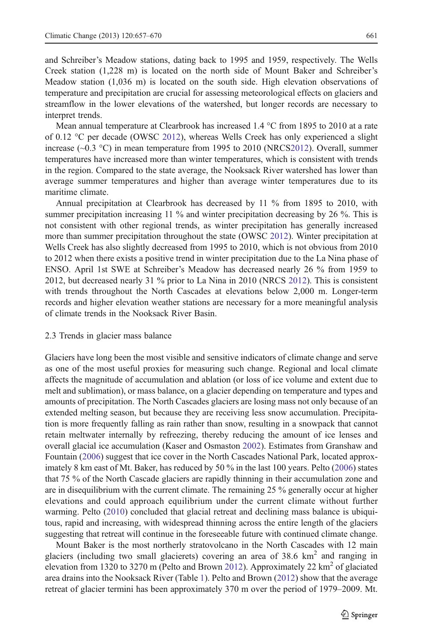and Schreiber's Meadow stations, dating back to 1995 and 1959, respectively. The Wells Creek station (1,228 m) is located on the north side of Mount Baker and Schreiber's Meadow station (1,036 m) is located on the south side. High elevation observations of temperature and precipitation are crucial for assessing meteorological effects on glaciers and streamflow in the lower elevations of the watershed, but longer records are necessary to interpret trends.

Mean annual temperature at Clearbrook has increased 1.4 °C from 1895 to 2010 at a rate of 0.12 °C per decade (OWSC [2012\)](#page-13-0), whereas Wells Creek has only experienced a slight increase  $(\sim 0.3 \text{ °C})$  in mean temperature from 1995 to 2010 (NRC[S2012\)](#page-13-0). Overall, summer temperatures have increased more than winter temperatures, which is consistent with trends in the region. Compared to the state average, the Nooksack River watershed has lower than average summer temperatures and higher than average winter temperatures due to its maritime climate.

Annual precipitation at Clearbrook has decreased by 11 % from 1895 to 2010, with summer precipitation increasing 11 % and winter precipitation decreasing by 26 %. This is not consistent with other regional trends, as winter precipitation has generally increased more than summer precipitation throughout the state (OWSC [2012\)](#page-13-0). Winter precipitation at Wells Creek has also slightly decreased from 1995 to 2010, which is not obvious from 2010 to 2012 when there exists a positive trend in winter precipitation due to the La Nina phase of ENSO. April 1st SWE at Schreiber's Meadow has decreased nearly 26 % from 1959 to 2012, but decreased nearly 31 % prior to La Nina in 2010 (NRCS [2012\)](#page-13-0). This is consistent with trends throughout the North Cascades at elevations below 2,000 m. Longer-term records and higher elevation weather stations are necessary for a more meaningful analysis of climate trends in the Nooksack River Basin.

## 2.3 Trends in glacier mass balance

Glaciers have long been the most visible and sensitive indicators of climate change and serve as one of the most useful proxies for measuring such change. Regional and local climate affects the magnitude of accumulation and ablation (or loss of ice volume and extent due to melt and sublimation), or mass balance, on a glacier depending on temperature and types and amounts of precipitation. The North Cascades glaciers are losing mass not only because of an extended melting season, but because they are receiving less snow accumulation. Precipitation is more frequently falling as rain rather than snow, resulting in a snowpack that cannot retain meltwater internally by refreezing, thereby reducing the amount of ice lenses and overall glacial ice accumulation (Kaser and Osmaston [2002](#page-12-0)). Estimates from Granshaw and Fountain ([2006](#page-12-0)) suggest that ice cover in the North Cascades National Park, located approximately 8 km east of Mt. Baker, has reduced by 50 % in the last 100 years. Pelto ([2006\)](#page-13-0) states that 75 % of the North Cascade glaciers are rapidly thinning in their accumulation zone and are in disequilibrium with the current climate. The remaining 25 % generally occur at higher elevations and could approach equilibrium under the current climate without further warming. Pelto ([2010\)](#page-13-0) concluded that glacial retreat and declining mass balance is ubiquitous, rapid and increasing, with widespread thinning across the entire length of the glaciers suggesting that retreat will continue in the foreseeable future with continued climate change.

Mount Baker is the most northerly stratovolcano in the North Cascades with 12 main glaciers (including two small glacierets) covering an area of  $38.6 \text{ km}^2$  and ranging in elevation from 1320 to 3270 m (Pelto and Brown [2012\)](#page-13-0). Approximately 22  $km^2$  of glaciated area drains into the Nooksack River (Table [1\)](#page-5-0). Pelto and Brown ([2012\)](#page-13-0) show that the average retreat of glacier termini has been approximately 370 m over the period of 1979–2009. Mt.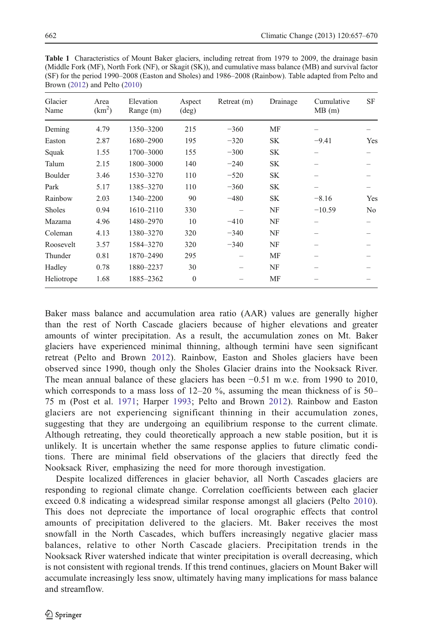<span id="page-5-0"></span>

| <b>Table 1</b> Characteristics of Mount Baker glaciers, including retreat from 1979 to 2009, the drainage basin |
|-----------------------------------------------------------------------------------------------------------------|
| (Middle Fork (MF), North Fork (NF), or Skagit (SK)), and cumulative mass balance (MB) and survival factor       |
| (SF) for the period 1990–2008 (Easton and Sholes) and 1986–2008 (Rainbow). Table adapted from Pelto and         |
| Brown $(2012)$ and Pelto $(2010)$                                                                               |

| Glacier<br>Name | Area<br>(km <sup>2</sup> ) | Elevation<br>Range (m) | Aspect<br>$(\text{deg})$ | Retreat (m) | Drainage  | Cumulative<br>MB(m) | SF             |
|-----------------|----------------------------|------------------------|--------------------------|-------------|-----------|---------------------|----------------|
| Deming          | 4.79                       | 1350-3200              | 215                      | $-360$      | MF        |                     |                |
| Easton          | 2.87                       | 1680-2900              | 195                      | $-320$      | <b>SK</b> | $-9.41$             | Yes            |
| Squak           | 1.55                       | 1700-3000              | 155                      | $-300$      | <b>SK</b> |                     |                |
| Talum           | 2.15                       | 1800-3000              | 140                      | $-240$      | <b>SK</b> |                     |                |
| Boulder         | 3.46                       | 1530-3270              | 110                      | $-520$      | <b>SK</b> |                     |                |
| Park            | 5.17                       | 1385-3270              | 110                      | $-360$      | <b>SK</b> |                     |                |
| Rainbow         | 2.03                       | 1340-2200              | 90                       | $-480$      | <b>SK</b> | $-8.16$             | Yes            |
| <b>Sholes</b>   | 0.94                       | $1610 - 2110$          | 330                      |             | NF        | $-10.59$            | N <sub>0</sub> |
| Mazama          | 4.96                       | 1480-2970              | 10                       | $-410$      | NF        |                     |                |
| Coleman         | 4.13                       | 1380-3270              | 320                      | $-340$      | NF        |                     |                |
| Roosevelt       | 3.57                       | 1584-3270              | 320                      | $-340$      | NF        |                     |                |
| Thunder         | 0.81                       | 1870-2490              | 295                      |             | MF        |                     |                |
| Hadley          | 0.78                       | 1880-2237              | 30                       |             | NF        |                     |                |
| Heliotrope      | 1.68                       | 1885-2362              | $\Omega$                 |             | MF        |                     |                |

Baker mass balance and accumulation area ratio (AAR) values are generally higher than the rest of North Cascade glaciers because of higher elevations and greater amounts of winter precipitation. As a result, the accumulation zones on Mt. Baker glaciers have experienced minimal thinning, although termini have seen significant retreat (Pelto and Brown [2012](#page-13-0)). Rainbow, Easton and Sholes glaciers have been observed since 1990, though only the Sholes Glacier drains into the Nooksack River. The mean annual balance of these glaciers has been −0.51 m w.e. from 1990 to 2010, which corresponds to a mass loss of  $12-20\%$ , assuming the mean thickness of is  $50-$ 75 m (Post et al. [1971;](#page-13-0) Harper [1993](#page-12-0); Pelto and Brown [2012\)](#page-13-0). Rainbow and Easton glaciers are not experiencing significant thinning in their accumulation zones, suggesting that they are undergoing an equilibrium response to the current climate. Although retreating, they could theoretically approach a new stable position, but it is unlikely. It is uncertain whether the same response applies to future climatic conditions. There are minimal field observations of the glaciers that directly feed the Nooksack River, emphasizing the need for more thorough investigation.

Despite localized differences in glacier behavior, all North Cascades glaciers are responding to regional climate change. Correlation coefficients between each glacier exceed 0.8 indicating a widespread similar response amongst all glaciers (Pelto [2010](#page-13-0)). This does not depreciate the importance of local orographic effects that control amounts of precipitation delivered to the glaciers. Mt. Baker receives the most snowfall in the North Cascades, which buffers increasingly negative glacier mass balances, relative to other North Cascade glaciers. Precipitation trends in the Nooksack River watershed indicate that winter precipitation is overall decreasing, which is not consistent with regional trends. If this trend continues, glaciers on Mount Baker will accumulate increasingly less snow, ultimately having many implications for mass balance and streamflow.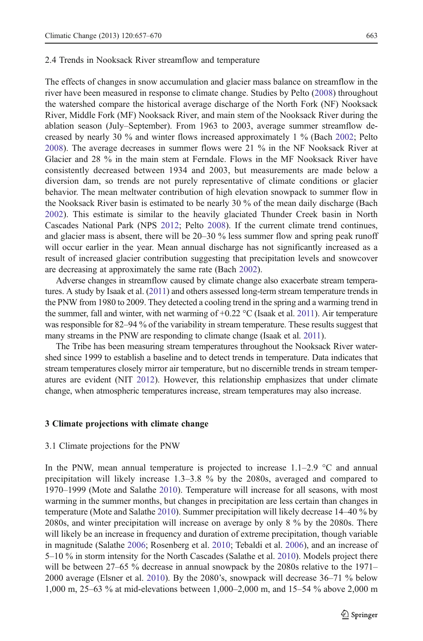### 2.4 Trends in Nooksack River streamflow and temperature

The effects of changes in snow accumulation and glacier mass balance on streamflow in the river have been measured in response to climate change. Studies by Pelto ([2008\)](#page-13-0) throughout the watershed compare the historical average discharge of the North Fork (NF) Nooksack River, Middle Fork (MF) Nooksack River, and main stem of the Nooksack River during the ablation season (July–September). From 1963 to 2003, average summer streamflow decreased by nearly 30 % and winter flows increased approximately 1 % (Bach [2002;](#page-12-0) Pelto [2008\)](#page-13-0). The average decreases in summer flows were 21 % in the NF Nooksack River at Glacier and 28 % in the main stem at Ferndale. Flows in the MF Nooksack River have consistently decreased between 1934 and 2003, but measurements are made below a diversion dam, so trends are not purely representative of climate conditions or glacier behavior. The mean meltwater contribution of high elevation snowpack to summer flow in the Nooksack River basin is estimated to be nearly 30 % of the mean daily discharge (Bach [2002\)](#page-12-0). This estimate is similar to the heavily glaciated Thunder Creek basin in North Cascades National Park (NPS [2012](#page-13-0); Pelto [2008\)](#page-13-0). If the current climate trend continues, and glacier mass is absent, there will be 20–30 % less summer flow and spring peak runoff will occur earlier in the year. Mean annual discharge has not significantly increased as a result of increased glacier contribution suggesting that precipitation levels and snowcover are decreasing at approximately the same rate (Bach [2002](#page-12-0)).

Adverse changes in streamflow caused by climate change also exacerbate stream temperatures. A study by Isaak et al. ([2011](#page-12-0)) and others assessed long-term stream temperature trends in the PNW from 1980 to 2009. They detected a cooling trend in the spring and a warming trend in the summer, fall and winter, with net warming of  $+0.22 \text{ °C}$  (Isaak et al. [2011](#page-12-0)). Air temperature was responsible for 82–94 % of the variability in stream temperature. These results suggest that many streams in the PNW are responding to climate change (Isaak et al. [2011\)](#page-12-0).

The Tribe has been measuring stream temperatures throughout the Nooksack River watershed since 1999 to establish a baseline and to detect trends in temperature. Data indicates that stream temperatures closely mirror air temperature, but no discernible trends in stream temperatures are evident (NIT [2012\)](#page-13-0). However, this relationship emphasizes that under climate change, when atmospheric temperatures increase, stream temperatures may also increase.

#### 3 Climate projections with climate change

#### 3.1 Climate projections for the PNW

In the PNW, mean annual temperature is projected to increase  $1.1-2.9$  °C and annual precipitation will likely increase 1.3–3.8 % by the 2080s, averaged and compared to 1970–1999 (Mote and Salathe [2010](#page-13-0)). Temperature will increase for all seasons, with most warming in the summer months, but changes in precipitation are less certain than changes in temperature (Mote and Salathe [2010\)](#page-13-0). Summer precipitation will likely decrease 14–40 % by 2080s, and winter precipitation will increase on average by only 8 % by the 2080s. There will likely be an increase in frequency and duration of extreme precipitation, though variable in magnitude (Salathe [2006](#page-13-0); Rosenberg et al. [2010](#page-13-0); Tebaldi et al. [2006\)](#page-13-0), and an increase of 5–10 % in storm intensity for the North Cascades (Salathe et al. [2010](#page-13-0)). Models project there will be between 27–65 % decrease in annual snowpack by the 2080s relative to the 1971– 2000 average (Elsner et al. [2010](#page-12-0)). By the 2080's, snowpack will decrease 36–71 % below 1,000 m, 25–63 % at mid-elevations between 1,000–2,000 m, and 15–54 % above 2,000 m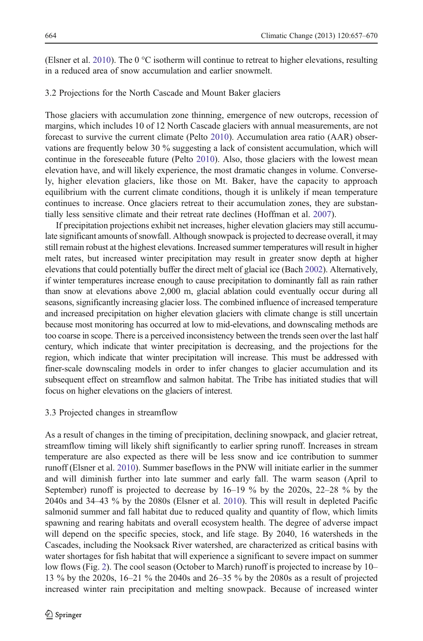(Elsner et al. [2010](#page-12-0)). The 0  $\degree$ C isotherm will continue to retreat to higher elevations, resulting in a reduced area of snow accumulation and earlier snowmelt.

## 3.2 Projections for the North Cascade and Mount Baker glaciers

Those glaciers with accumulation zone thinning, emergence of new outcrops, recession of margins, which includes 10 of 12 North Cascade glaciers with annual measurements, are not forecast to survive the current climate (Pelto [2010\)](#page-13-0). Accumulation area ratio (AAR) observations are frequently below 30 % suggesting a lack of consistent accumulation, which will continue in the foreseeable future (Pelto [2010](#page-13-0)). Also, those glaciers with the lowest mean elevation have, and will likely experience, the most dramatic changes in volume. Conversely, higher elevation glaciers, like those on Mt. Baker, have the capacity to approach equilibrium with the current climate conditions, though it is unlikely if mean temperature continues to increase. Once glaciers retreat to their accumulation zones, they are substantially less sensitive climate and their retreat rate declines (Hoffman et al. [2007](#page-12-0)).

If precipitation projections exhibit net increases, higher elevation glaciers may still accumulate significant amounts of snowfall. Although snowpack is projected to decrease overall, it may still remain robust at the highest elevations. Increased summer temperatures will result in higher melt rates, but increased winter precipitation may result in greater snow depth at higher elevations that could potentially buffer the direct melt of glacial ice (Bach [2002](#page-12-0)). Alternatively, if winter temperatures increase enough to cause precipitation to dominantly fall as rain rather than snow at elevations above 2,000 m, glacial ablation could eventually occur during all seasons, significantly increasing glacier loss. The combined influence of increased temperature and increased precipitation on higher elevation glaciers with climate change is still uncertain because most monitoring has occurred at low to mid-elevations, and downscaling methods are too coarse in scope. There is a perceived inconsistency between the trends seen over the last half century, which indicate that winter precipitation is decreasing, and the projections for the region, which indicate that winter precipitation will increase. This must be addressed with finer-scale downscaling models in order to infer changes to glacier accumulation and its subsequent effect on streamflow and salmon habitat. The Tribe has initiated studies that will focus on higher elevations on the glaciers of interest.

# 3.3 Projected changes in streamflow

As a result of changes in the timing of precipitation, declining snowpack, and glacier retreat, streamflow timing will likely shift significantly to earlier spring runoff. Increases in stream temperature are also expected as there will be less snow and ice contribution to summer runoff (Elsner et al. [2010\)](#page-12-0). Summer baseflows in the PNW will initiate earlier in the summer and will diminish further into late summer and early fall. The warm season (April to September) runoff is projected to decrease by 16–19 % by the 2020s, 22–28 % by the 2040s and 34–43 % by the 2080s (Elsner et al. [2010](#page-12-0)). This will result in depleted Pacific salmonid summer and fall habitat due to reduced quality and quantity of flow, which limits spawning and rearing habitats and overall ecosystem health. The degree of adverse impact will depend on the specific species, stock, and life stage. By 2040, 16 watersheds in the Cascades, including the Nooksack River watershed, are characterized as critical basins with water shortages for fish habitat that will experience a significant to severe impact on summer low flows (Fig. [2\)](#page-8-0). The cool season (October to March) runoff is projected to increase by 10– 13 % by the 2020s, 16–21 % the 2040s and 26–35 % by the 2080s as a result of projected increased winter rain precipitation and melting snowpack. Because of increased winter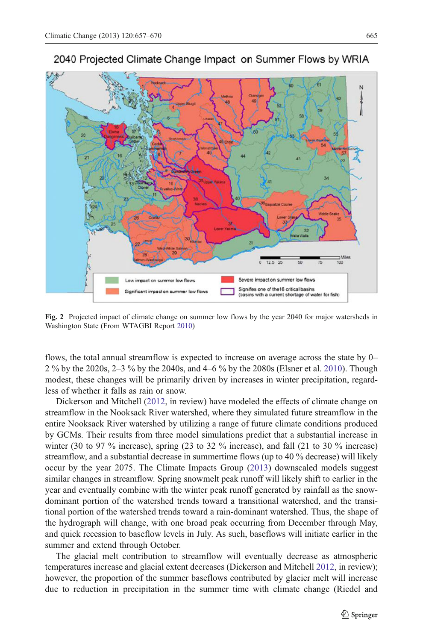<span id="page-8-0"></span>

2040 Projected Climate Change Impact on Summer Flows by WRIA

Fig. 2 Projected impact of climate change on summer low flows by the year 2040 for major watersheds in Washington State (From WTAGBI Report [2010\)](#page-13-0)

flows, the total annual streamflow is expected to increase on average across the state by 0– 2 % by the 2020s, 2–3 % by the 2040s, and 4–6 % by the 2080s (Elsner et al. [2010\)](#page-12-0). Though modest, these changes will be primarily driven by increases in winter precipitation, regardless of whether it falls as rain or snow.

Dickerson and Mitchell ([2012,](#page-12-0) in review) have modeled the effects of climate change on streamflow in the Nooksack River watershed, where they simulated future streamflow in the entire Nooksack River watershed by utilizing a range of future climate conditions produced by GCMs. Their results from three model simulations predict that a substantial increase in winter (30 to 97  $\%$  increase), spring (23 to 32  $\%$  increase), and fall (21 to 30  $\%$  increase) streamflow, and a substantial decrease in summertime flows (up to 40 % decrease) will likely occur by the year 2075. The Climate Impacts Group ([2013\)](#page-13-0) downscaled models suggest similar changes in streamflow. Spring snowmelt peak runoff will likely shift to earlier in the year and eventually combine with the winter peak runoff generated by rainfall as the snowdominant portion of the watershed trends toward a transitional watershed, and the transitional portion of the watershed trends toward a rain-dominant watershed. Thus, the shape of the hydrograph will change, with one broad peak occurring from December through May, and quick recession to baseflow levels in July. As such, baseflows will initiate earlier in the summer and extend through October.

The glacial melt contribution to streamflow will eventually decrease as atmospheric temperatures increase and glacial extent decreases (Dickerson and Mitchell [2012,](#page-12-0) in review); however, the proportion of the summer baseflows contributed by glacier melt will increase due to reduction in precipitation in the summer time with climate change (Riedel and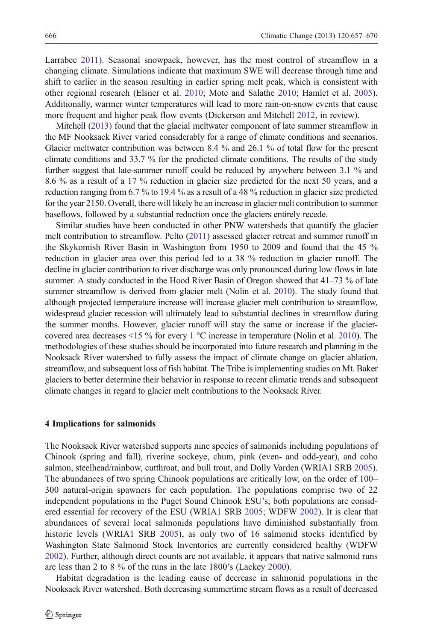Larrabee [2011\)](#page-13-0). Seasonal snowpack, however, has the most control of streamflow in a changing climate. Simulations indicate that maximum SWE will decrease through time and shift to earlier in the season resulting in earlier spring melt peak, which is consistent with other regional research (Elsner et al. [2010](#page-12-0); Mote and Salathe [2010;](#page-13-0) Hamlet et al. [2005](#page-12-0)). Additionally, warmer winter temperatures will lead to more rain-on-snow events that cause more frequent and higher peak flow events (Dickerson and Mitchell [2012,](#page-12-0) in review).

Mitchell ([2013](#page-13-0)) found that the glacial meltwater component of late summer streamflow in the MF Nooksack River varied considerably for a range of climate conditions and scenarios. Glacier meltwater contribution was between 8.4 % and 26.1 % of total flow for the present climate conditions and 33.7 % for the predicted climate conditions. The results of the study further suggest that late-summer runoff could be reduced by anywhere between 3.1 % and 8.6 % as a result of a 17 % reduction in glacier size predicted for the next 50 years, and a reduction ranging from 6.7 % to 19.4 % as a result of a 48 % reduction in glacier size predicted for the year 2150. Overall, there will likely be an increase in glacier melt contribution to summer baseflows, followed by a substantial reduction once the glaciers entirely recede.

Similar studies have been conducted in other PNW watersheds that quantify the glacier melt contribution to streamflow. Pelto [\(2011](#page-13-0)) assessed glacier retreat and summer runoff in the Skykomish River Basin in Washington from 1950 to 2009 and found that the 45 % reduction in glacier area over this period led to a 38 % reduction in glacier runoff. The decline in glacier contribution to river discharge was only pronounced during low flows in late summer. A study conducted in the Hood River Basin of Oregon showed that  $41-73$  % of late summer streamflow is derived from glacier melt (Nolin et al. [2010](#page-13-0)). The study found that although projected temperature increase will increase glacier melt contribution to streamflow, widespread glacier recession will ultimately lead to substantial declines in streamflow during the summer months. However, glacier runoff will stay the same or increase if the glaciercovered area decreases  $\leq$ 15 % for every 1 °C increase in temperature (Nolin et al. [2010](#page-13-0)). The methodologies of these studies should be incorporated into future research and planning in the Nooksack River watershed to fully assess the impact of climate change on glacier ablation, streamflow, and subsequent loss of fish habitat. The Tribe is implementing studies on Mt. Baker glaciers to better determine their behavior in response to recent climatic trends and subsequent climate changes in regard to glacier melt contributions to the Nooksack River.

#### 4 Implications for salmonids

The Nooksack River watershed supports nine species of salmonids including populations of Chinook (spring and fall), riverine sockeye, chum, pink (even- and odd-year), and coho salmon, steelhead/rainbow, cutthroat, and bull trout, and Dolly Varden (WRIA1 SRB [2005](#page-13-0)). The abundances of two spring Chinook populations are critically low, on the order of 100– 300 natural-origin spawners for each population. The populations comprise two of 22 independent populations in the Puget Sound Chinook ESU's; both populations are considered essential for recovery of the ESU (WRIA1 SRB [2005](#page-13-0); WDFW [2002\)](#page-13-0). It is clear that abundances of several local salmonids populations have diminished substantially from historic levels (WRIA1 SRB [2005\)](#page-13-0), as only two of 16 salmonid stocks identified by Washington State Salmonid Stock Inventories are currently considered healthy (WDFW [2002\)](#page-13-0). Further, although direct counts are not available, it appears that native salmonid runs are less than 2 to 8 % of the runs in the late 1800's (Lackey [2000\)](#page-12-0).

Habitat degradation is the leading cause of decrease in salmonid populations in the Nooksack River watershed. Both decreasing summertime stream flows as a result of decreased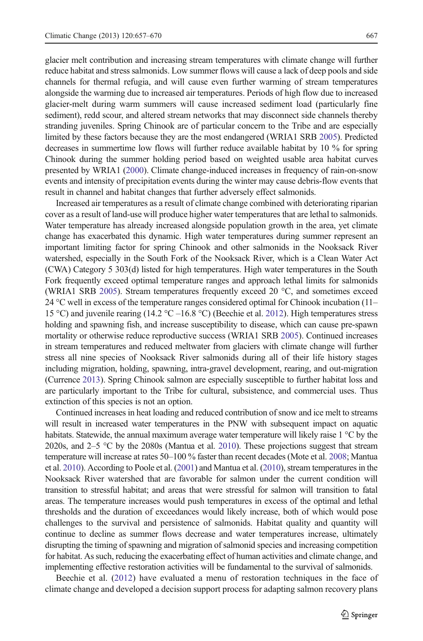glacier melt contribution and increasing stream temperatures with climate change will further reduce habitat and stress salmonids. Low summer flows will cause a lack of deep pools and side channels for thermal refugia, and will cause even further warming of stream temperatures alongside the warming due to increased air temperatures. Periods of high flow due to increased glacier-melt during warm summers will cause increased sediment load (particularly fine sediment), redd scour, and altered stream networks that may disconnect side channels thereby stranding juveniles. Spring Chinook are of particular concern to the Tribe and are especially limited by these factors because they are the most endangered (WRIA1 SRB [2005](#page-13-0)). Predicted decreases in summertime low flows will further reduce available habitat by 10 % for spring Chinook during the summer holding period based on weighted usable area habitat curves presented by WRIA1 ([2000](#page-13-0)). Climate change-induced increases in frequency of rain-on-snow events and intensity of precipitation events during the winter may cause debris-flow events that result in channel and habitat changes that further adversely effect salmonids.

Increased air temperatures as a result of climate change combined with deteriorating riparian cover as a result of land-use will produce higher water temperatures that are lethal to salmonids. Water temperature has already increased alongside population growth in the area, yet climate change has exacerbated this dynamic. High water temperatures during summer represent an important limiting factor for spring Chinook and other salmonids in the Nooksack River watershed, especially in the South Fork of the Nooksack River, which is a Clean Water Act (CWA) Category 5 303(d) listed for high temperatures. High water temperatures in the South Fork frequently exceed optimal temperature ranges and approach lethal limits for salmonids (WRIA1 SRB [2005\)](#page-13-0). Stream temperatures frequently exceed 20 °C, and sometimes exceed 24 °C well in excess of the temperature ranges considered optimal for Chinook incubation (11– 15 °C) and juvenile rearing (14.2 °C –16.8 °C) (Beechie et al. [2012\)](#page-12-0). High temperatures stress holding and spawning fish, and increase susceptibility to disease, which can cause pre-spawn mortality or otherwise reduce reproductive success (WRIA1 SRB [2005](#page-13-0)). Continued increases in stream temperatures and reduced meltwater from glaciers with climate change will further stress all nine species of Nooksack River salmonids during all of their life history stages including migration, holding, spawning, intra-gravel development, rearing, and out-migration (Currence [2013](#page-12-0)). Spring Chinook salmon are especially susceptible to further habitat loss and are particularly important to the Tribe for cultural, subsistence, and commercial uses. Thus extinction of this species is not an option.

Continued increases in heat loading and reduced contribution of snow and ice melt to streams will result in increased water temperatures in the PNW with subsequent impact on aquatic habitats. Statewide, the annual maximum average water temperature will likely raise 1 °C by the 2020s, and 2–5 °C by the 2080s (Mantua et al. [2010](#page-13-0)). These projections suggest that stream temperature will increase at rates 50–100 % faster than recent decades (Mote et al. [2008](#page-13-0); Mantua et al. [2010\)](#page-13-0). According to Poole et al. [\(2001](#page-13-0)) and Mantua et al. [\(2010\)](#page-13-0), stream temperatures in the Nooksack River watershed that are favorable for salmon under the current condition will transition to stressful habitat; and areas that were stressful for salmon will transition to fatal areas. The temperature increases would push temperatures in excess of the optimal and lethal thresholds and the duration of exceedances would likely increase, both of which would pose challenges to the survival and persistence of salmonids. Habitat quality and quantity will continue to decline as summer flows decrease and water temperatures increase, ultimately disrupting the timing of spawning and migration of salmonid species and increasing competition for habitat. As such, reducing the exacerbating effect of human activities and climate change, and implementing effective restoration activities will be fundamental to the survival of salmonids.

Beechie et al. ([2012\)](#page-12-0) have evaluated a menu of restoration techniques in the face of climate change and developed a decision support process for adapting salmon recovery plans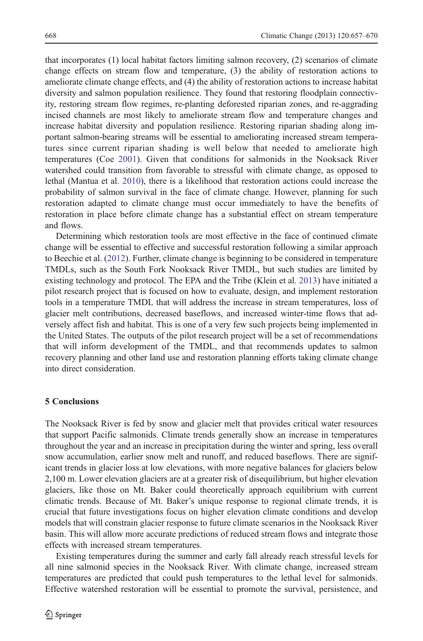that incorporates (1) local habitat factors limiting salmon recovery, (2) scenarios of climate change effects on stream flow and temperature, (3) the ability of restoration actions to ameliorate climate change effects, and (4) the ability of restoration actions to increase habitat diversity and salmon population resilience. They found that restoring floodplain connectivity, restoring stream flow regimes, re-planting deforested riparian zones, and re-aggrading incised channels are most likely to ameliorate stream flow and temperature changes and increase habitat diversity and population resilience. Restoring riparian shading along important salmon-bearing streams will be essential to ameliorating increased stream temperatures since current riparian shading is well below that needed to ameliorate high temperatures (Coe [2001](#page-12-0)). Given that conditions for salmonids in the Nooksack River watershed could transition from favorable to stressful with climate change, as opposed to lethal (Mantua et al. [2010](#page-13-0)), there is a likelihood that restoration actions could increase the probability of salmon survival in the face of climate change. However, planning for such restoration adapted to climate change must occur immediately to have the benefits of restoration in place before climate change has a substantial effect on stream temperature and flows.

Determining which restoration tools are most effective in the face of continued climate change will be essential to effective and successful restoration following a similar approach to Beechie et al. [\(2012](#page-12-0)). Further, climate change is beginning to be considered in temperature TMDLs, such as the South Fork Nooksack River TMDL, but such studies are limited by existing technology and protocol. The EPA and the Tribe (Klein et al. [2013\)](#page-12-0) have initiated a pilot research project that is focused on how to evaluate, design, and implement restoration tools in a temperature TMDL that will address the increase in stream temperatures, loss of glacier melt contributions, decreased baseflows, and increased winter-time flows that adversely affect fish and habitat. This is one of a very few such projects being implemented in the United States. The outputs of the pilot research project will be a set of recommendations that will inform development of the TMDL, and that recommends updates to salmon recovery planning and other land use and restoration planning efforts taking climate change into direct consideration.

# 5 Conclusions

The Nooksack River is fed by snow and glacier melt that provides critical water resources that support Pacific salmonids. Climate trends generally show an increase in temperatures throughout the year and an increase in precipitation during the winter and spring, less overall snow accumulation, earlier snow melt and runoff, and reduced baseflows. There are significant trends in glacier loss at low elevations, with more negative balances for glaciers below 2,100 m. Lower elevation glaciers are at a greater risk of disequilibrium, but higher elevation glaciers, like those on Mt. Baker could theoretically approach equilibrium with current climatic trends. Because of Mt. Baker's unique response to regional climate trends, it is crucial that future investigations focus on higher elevation climate conditions and develop models that will constrain glacier response to future climate scenarios in the Nooksack River basin. This will allow more accurate predictions of reduced stream flows and integrate those effects with increased stream temperatures.

Existing temperatures during the summer and early fall already reach stressful levels for all nine salmonid species in the Nooksack River. With climate change, increased stream temperatures are predicted that could push temperatures to the lethal level for salmonids. Effective watershed restoration will be essential to promote the survival, persistence, and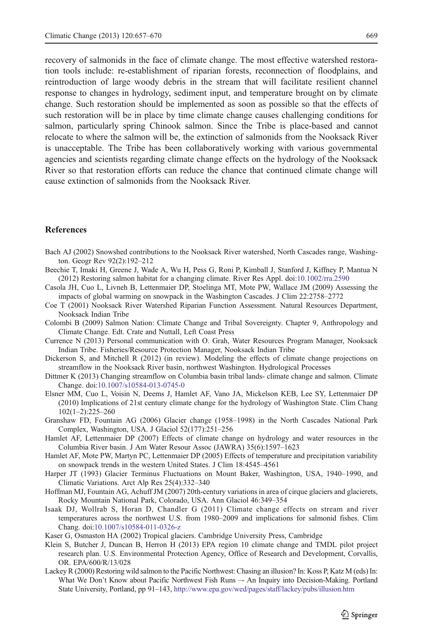<span id="page-12-0"></span>recovery of salmonids in the face of climate change. The most effective watershed restoration tools include: re-establishment of riparian forests, reconnection of floodplains, and reintroduction of large woody debris in the stream that will facilitate resilient channel response to changes in hydrology, sediment input, and temperature brought on by climate change. Such restoration should be implemented as soon as possible so that the effects of such restoration will be in place by time climate change causes challenging conditions for salmon, particularly spring Chinook salmon. Since the Tribe is place-based and cannot relocate to where the salmon will be, the extinction of salmonids from the Nooksack River is unacceptable. The Tribe has been collaboratively working with various governmental agencies and scientists regarding climate change effects on the hydrology of the Nooksack River so that restoration efforts can reduce the chance that continued climate change will cause extinction of salmonids from the Nooksack River.

# **References**

- Bach AJ (2002) Snowshed contributions to the Nooksack River watershed, North Cascades range, Washington. Geogr Rev 92(2):192–212
- Beechie T, Imaki H, Greene J, Wade A, Wu H, Pess G, Roni P, Kimball J, Stanford J, Kiffney P, Mantua N (2012) Restoring salmon habitat for a changing climate. River Res Appl. doi:[10.1002/rra.2590](http://dx.doi.org/10.1002/rra.2590)
- Casola JH, Cuo L, Livneh B, Lettenmaier DP, Stoelinga MT, Mote PW, Wallace JM (2009) Assessing the impacts of global warming on snowpack in the Washington Cascades. J Clim 22:2758–2772
- Coe T (2001) Nooksack River Watershed Riparian Function Assessment. Natural Resources Department, Nooksack Indian Tribe
- Colombi B (2009) Salmon Nation: Climate Change and Tribal Sovereignty. Chapter 9, Anthropology and Climate Change. Edt. Crate and Nuttall, Left Coast Press
- Currence N (2013) Personal communication with O. Grah, Water Resources Program Manager, Nooksack Indian Tribe. Fisheries/Resource Protection Manager, Nooksack Indian Tribe
- Dickerson S, and Mitchell R (2012) (in review). Modeling the effects of climate change projections on streamflow in the Nooksack River basin, northwest Washington. Hydrological Processes
- Dittmer K (2013) Changing streamflow on Columbia basin tribal lands- climate change and salmon. Climate Change. doi:[10.1007/s10584-013-0745-0](http://dx.doi.org/10.1007/s10584-013-0745-0)
- Elsner MM, Cuo L, Voisin N, Deems J, Hamlet AF, Vano JA, Mickelson KEB, Lee SY, Lettenmaier DP (2010) Implications of 21st century climate change for the hydrology of Washington State. Clim Chang 102(1–2):225–260
- Granshaw FD, Fountain AG (2006) Glacier change (1958–1998) in the North Cascades National Park Complex, Washington, USA. J Glaciol 52(177):251–256
- Hamlet AF, Lettenmaier DP (2007) Effects of climate change on hydrology and water resources in the Columbia River basin. J Am Water Resour Assoc (JAWRA) 35(6):1597–1623
- Hamlet AF, Mote PW, Martyn PC, Lettenmaier DP (2005) Effects of temperature and precipitation variability on snowpack trends in the western United States. J Clim 18:4545–4561
- Harper JT (1993) Glacier Terminus Fluctuations on Mount Baker, Washington, USA, 1940–1990, and Climatic Variations. Arct Alp Res 25(4):332–340
- Hoffman MJ, Fountain AG, Achuff JM (2007) 20th-century variations in area of cirque glaciers and glacierets, Rocky Mountain National Park, Colorado, USA. Ann Glaciol 46:349–354
- Isaak DJ, Wollrab S, Horan D, Chandler G (2011) Climate change effects on stream and river temperatures across the northwest U.S. from 1980–2009 and implications for salmonid fishes. Clim Chang. doi[:10.1007/s10584-011-0326-z](http://dx.doi.org/10.1007/s10584-011-0326-z)
- Kaser G, Osmaston HA (2002) Tropical glaciers. Cambridge University Press, Cambridge
- Klein S, Butcher J, Duncan B, Herron H (2013) EPA region 10 climate change and TMDL pilot project research plan. U.S. Environmental Protection Agency, Office of Research and Development, Corvallis, OR. EPA/600/R/13/028
- Lackey R (2000) Restoring wild salmon to the Pacific Northwest: Chasing an illusion? In: Koss P, Katz M (eds) In: What We Don't Know about Pacific Northwest Fish Runs –- An Inquiry into Decision-Making. Portland State University, Portland, pp 91–143, <http://www.epa.gov/wed/pages/staff/lackey/pubs/illusion.htm>